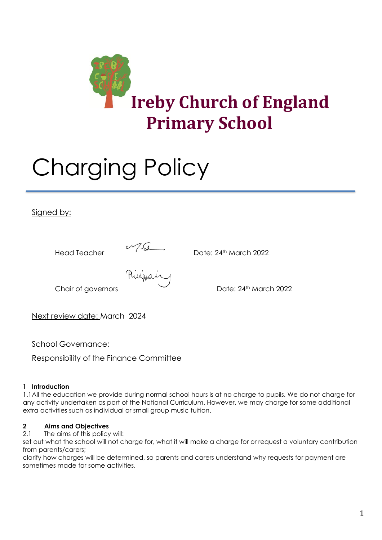

# Charging Policy

## Signed by:



Head Teacher Date: 24th March 2022<br>
Philippe in the Contract Date: 24th March 2022

Chair of governors **Date: 24th March 2022** 

Next review date: March 2024

School Governance:

Responsibility of the Finance Committee

## **1 Introduction**

1.1All the education we provide during normal school hours is at no charge to pupils. We do not charge for any activity undertaken as part of the National Curriculum. However, we may charge for some additional extra activities such as individual or small group music tuition.

## **2 Aims and Objectives**

2.1 The aims of this policy will:

set out what the school will not charge for, what it will make a charge for or request a voluntary contribution from parents/carers;

clarify how charges will be determined, so parents and carers understand why requests for payment are sometimes made for some activities.